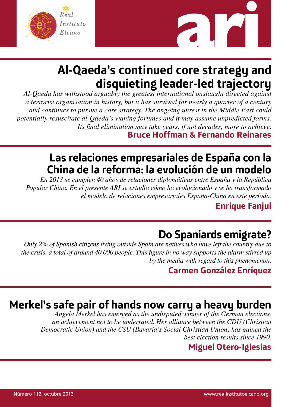



# **Al-Qaeda's continued core strategy and disquieting leader-led trajectory**

*Al-Qaeda has withstood arguably the greatest international onslaught directed against a terrorist organisation in history, but it has survived for nearly a quarter of a century and continues to pursue a core strategy. The ongoing unrest in the Middle East could potentially resuscitate al-Qaeda's waning fortunes and it may assume unpredicted forms. Its final elimination may take years, if not decades, more to achieve.* **Bruce Hoffman & Fernando Reinares**

## **Las relaciones empresariales de España con la China de la reforma: la evolución de un modelo**

*En 2013 se cumplen 40 años de relaciones diplomáticas entre España y la República Popular China. En el presente ARI se estudia cómo ha evolucionado y se ha transformado el modelo de relaciones empresariales España-China en este período.*

**Enrique Fanjul**

# **Do Spaniards emigrate?**

*Only 2% of Spanish citizens living outside Spain are natives who have left the country due to the crisis, a total of around 40,000 people. This figure in no way supports the alarm stirred up by the media with regard to this phenomenon.*

## **Carmen González Enríquez**

## **Merkel's safe pair of hands now carry a heavy burden**

*Angela Merkel has emerged as the undisputed winner of the German elections, an achievement not to be underrated. Her alliance between the CDU (Christian Democratic Union) and the CSU (Bavaria's Social Christian Union) has gained the best election results since 1990.*

## **Miguel Otero-Iglesias**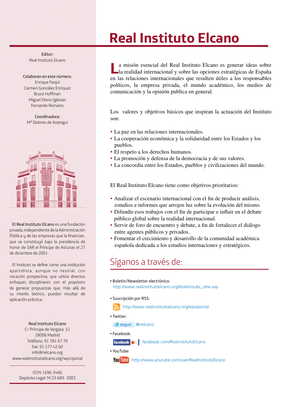# **Real Instituto Elcano**

Editor: Real Instituto Elcano

Colaboran en este número: Enrique Fanjul Carmen González Enríquez Bruce Hoffman Miguel Otero-Iglesias Fernando Reinares

Coordinadora: Mª Dolores de Azategui



El Real Instituto Elcano es una fundación privada, independiente de la Administración Pública y de las empresas que la financian, que se constituyó bajo la presidencia de honor de SAR el Príncipe de Asturias el 27 de diciembre de 2001.

El Instituto se define como una institución apartidista, aunque no neutral, con vocación prospectiva, que utiliza diversos enfoques disciplinares con el propósito de generar propuestas que, más allá de su interés teórico, puedan resultar de aplicación práctica.

## Real Instituto Elcano

C/ Príncipe de Vergara, 51 28006 Madrid Teléfono: 91 781 67 70 Fax: 91 577 42 60 info@rielcano.org www.realinstitutoelcano.org/wps/portal

> ISSN 1696-3466 Depósito Legal: M.23.689- 2003

**L**a misión esencial del Real Instituto Elcano es generar ideas sobre la realidad internacional y sobre las opciones estratégicas de España en las relaciones internacionales que resulten útiles a los responsables políticos, la empresa privada, el mundo académico, los medios de comunicación y la opinión publica en general.

Los valores y objetivos básicos que inspiran la actuación del Instituto son:

- La paz en las relaciones internacionales.
- La cooperación económica y la solidaridad entre los Estados y los pueblos.
- El respeto a los derechos humanos.
- La promoción y defensa de la democracia y de sus valores.
- La concordia entre los Estados, pueblos y civilizaciones del mundo.

El Real Instituto Elcano tiene como objetivos prioritarios:

- Analizar el escenario internacional con el fin de producir análisis, estudios e informes que arrojen luz sobre la evolución del mismo.
- Difundir esos trabajos con el fin de participar e influir en el debate público global sobre la realidad internacional.
- Servir de foro de encuentro y debate, a fin de fortalecer el diálogo entre agentes públicos y privados.
- Fomentar el crecimiento y desarrollo de la comunidad académica española dedicada a los estudios internaciones y estratégicos.

## Síganos a través de:

- Boletín/Newsletter electrónico: http://www.realinstitutoelcano.org/boletinsubs\_new.asp
- Suscripción por RSS:

http://www.realinstitutoelcano.org/wps/portal

• Twitter:

seguir @rielcano

• Facebook:

facebook.com/RealinstitutoElcano

• YouTube:

You Tube http://www.youtube.com/user/RealInstitutoElcano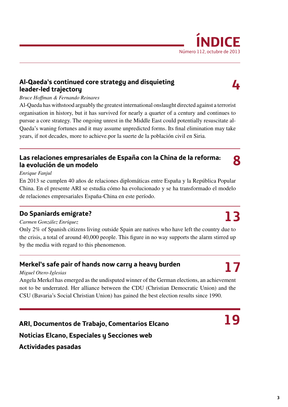## **Al-Qaeda's continued core strategy and disquieting leader-led trajectory**

## *Bruce Hoffman & Fernando Reinares*

Al-Qaeda has withstood arguably the greatest international onslaught directed against a terrorist organisation in history, but it has survived for nearly a quarter of a century and continues to pursue a core strategy. The ongoing unrest in the Middle East could potentially resuscitate al-Qaeda's waning fortunes and it may assume unpredicted forms. Its final elimination may take years, if not decades, more to achieve.por la suerte de la población civil en Siria.

## **Las relaciones empresariales de España con la China de la reforma: la evolución de un modelo**

## *Enrique Fanjul*

En 2013 se cumplen 40 años de relaciones diplomáticas entre España y la República Popular China. En el presente ARI se estudia cómo ha evolucionado y se ha transformado el modelo de relaciones empresariales España-China en este período.

## **Do Spaniards emigrate?**

## *Carmen González Enríquez*

Only 2% of Spanish citizens living outside Spain are natives who have left the country due to the crisis, a total of around 40,000 people. This figure in no way supports the alarm stirred up by the media with regard to this phenomenon.

## **Merkel's safe pair of hands now carry a heavy burden**

## *Miguel Otero-Iglesias*

Angela Merkel has emerged as the undisputed winner of the German elections, an achievement not to be underrated. Her alliance between the CDU (Christian Democratic Union) and the CSU (Bavaria's Social Christian Union) has gained the best election results since 1990.

**ARI, Documentos de Trabajo, Comentarios Elcano Noticias Elcano, Especiales y Secciones web Actividades pasadas**



**4**

**8**

# **13**



**17**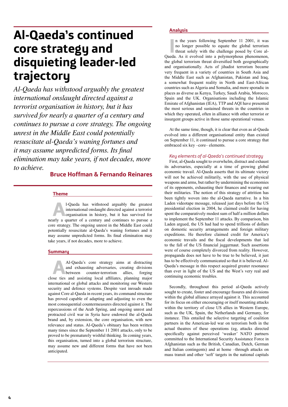# **Al-Qaeda's continued core strategy and disquieting leader-led trajectory**

*Al-Qaeda has withstood arguably the greatest international onslaught directed against a terrorist organisation in history, but it has survived for nearly a quarter of a century and continues to pursue a core strategy. The ongoing unrest in the Middle East could potentially resuscitate al-Qaeda's waning fortunes and it may assume unpredicted forms. Its final elimination may take years, if not decades, more to achieve.*

## **Bruce Hoffman & Fernando Reinares**

**Theme**

**A**<br>**A**l-Qaeda has withstood arguably the greatest<br>international onslaught directed against a terrorist<br>organisation in history, but it has survived for<br>arly a quarter of a century and continues to pursue a international onslaught directed against a terrorist nearly a quarter of a century and continues to pursue a core strategy. The ongoing unrest in the Middle East could potentially resuscitate al-Qaeda's waning fortunes and it may assume unpredicted forms. Its final elimination may take years, if not decades, more to achieve.

## **Summary**

Al-Qaeda's core strategy aims at distracting<br>and exhausting adversaries, creating divisions<br>between counter-terrorism allies, forging and exhausting adversaries, creating divisions between counter-terrorism close ties and assisting local affiliates, planning major international or global attacks and monitoring our Western security and defence systems. Despite vast inroads made against Core al-Qaeda in recent years, its command structure has proved capable of adapting and adjusting to even the most consequential countermeasures directed against it. The repercussions of the Arab Spring, and ongoing unrest and protracted civil war in Syria have endowed the al-Qaeda brand and, by extension, the core organisation, with new relevance and status. Al-Qaeda's obituary has been written many times since the September 11 2001 attacks, only to be proved to be prematurely wishful thinking. In coming years, this organisation, turned into a global terrorism structure, may assume new and different forms that have not been anticipated.

## **Analysis**

In the years following September 11 2001, it was no longer possible to equate the global terrorism threat solely with the challenge posed by Core al-Qaeda. As it evolved into a polymorphous phenomenon, n the years following September 11 2001, it was no longer possible to equate the global terrorism

threat solely with the challenge posed by Core althe global terrorism threat diversified both geographically and organisationally. Acts of jihadist terrorism became very frequent in a variety of countries in South Asia and the Middle East such as Afghanistan, Pakistan and Iraq, a somewhat frequent reality in North and East-African countries such as Algeria and Somalia, and more sporadic in places as diverse as Kenya, Turkey, Saudi Arabia, Morocco, Spain and the UK. Organisations including the Islamic Emirate of Afghanistan (IEA), TTP and AQI have presented the most serious and sustained threats in the countries in which they operated, often in alliance with other terrorist or insurgent groups active in those same operational venues.

At the same time, though, it is clear that even as al-Qaeda evolved into a different organisational entity than existed on September 11, it continued to pursue a core strategy that embraced six key –core– elements.

## *Key elements of al-Qaeda's continued strategy*

First, al-Qaeda sought to overwhelm, distract and exhaust its adversaries, especially at a time of growing global economic travail. Al-Qaeda asserts that its ultimate victory will not be achieved militarily, with the use of physical weapons and arms, but rather by undermining the economies of its opponents, exhausting their finances and wearing out their militaries. The notion of this strategy of attrition has been tightly woven into the al-Qaeda narrative. In a bin Laden videotape message, released just days before the US presidential election in 2004, he claimed credit for having spent the comparatively modest sum of half a million dollars to implement the September 11 attacks. By comparison, bin Laden argued, the US had had to spend trillions of dollars on domestic security arrangements and foreign military expeditions. He therefore claimed credit for America's economic travails and the fiscal developments that led to the fall of the US financial juggernaut. Such assertions were of course completely divorced from reality. However, propaganda does not have to be true to be believed, it just has to be effectively communicated so that it is believed. Al-Qaeda's message in this respect acquired greater resonance than ever in light of the US and the West's very real and continuing economic troubles.

Secondly, throughout this period al-Qaeda actively sought to create, foster and encourage fissures and divisions within the global alliance arrayed against it. This accounted for its focus on either encouraging or itself mounting attacks within the territory of close US allies in Western Europe, such as the UK, Spain, the Netherlands and Germany, for instance. This entailed the selective targeting of coalition partners in the American-led war on terrorism both in the actual theatres of these operations (eg, attacks directed specifically against perceived 'weaker' NATO partners committed to the International Security Assistance Force in Afghanistan such as the British, Canadian, Dutch, German and Italian contingents) and at home –through attacks on mass transit and other 'soft' targets in the national capitals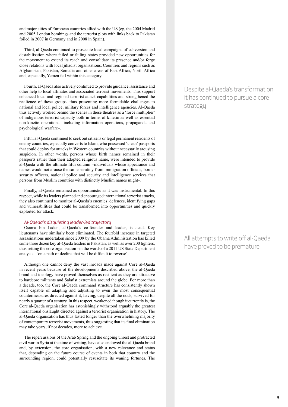and major cities of European countries allied with the US (eg, the 2004 Madrid and 2005 London bombings and the terrorist plots with links back to Pakistan foiled in 2007 in Germany and in 2008 in Spain).

Third, al-Qaeda continued to prosecute local campaigns of subversion and destabilisation where failed or failing states provided new opportunities for the movement to extend its reach and consolidate its presence and/or forge close relations with local jihadist organisations. Countries and regions such as Afghanistan, Pakistan, Somalia and other areas of East Africa, North Africa and, especially, Yemen fell within this category.

Fourth, al-Qaeda also actively continued to provide guidance, assistance and other help to local affiliates and associated terrorist movements. This support enhanced local and regional terrorist attack capabilities and strengthened the resilience of these groups, thus presenting more formidable challenges to national and local police, military forces and intelligence agencies. Al-Qaeda thus actively worked behind the scenes in these theatres as a 'force multiplier' of indigenous terrorist capacity both in terms of kinetic as well as essential non-kinetic operations –including information operations, propaganda and psychological warfare–.

Fifth, al-Qaeda continued to seek out citizens or legal permanent residents of enemy countries, especially converts to Islam, who possessed 'clean' passports that could deploy for attacks in Western countries without necessarily arousing suspicion. In other words, persons whose birth names remained in their passports rather than their adopted religious name, were intended to provide al-Qaeda with the ultimate fifth column –individuals whose appearance and names would not arouse the same scrutiny from immigration officials, border security officers, national police and security and intelligence services that persons from Muslim countries with distinctly Muslim names might–.

Finally, al-Qaeda remained as opportunistic as it was instrumental. In this respect, while its leaders planned and encouraged international terrorist attacks, they also continued to monitor al-Qaeda's enemies' defences, identifying gaps and vulnerabilities that could be transformed into opportunities and quickly exploited for attack.

### *Al-Qaeda's disquieting leader-led trajectory*

Osama bin Laden, al-Qaeda's co-founder and leader, is dead. Key lieutenants have similarly been eliminated. The fourfold increase in targeted assassinations undertaken since 2009 by the Obama Administration has killed some three dozen key al-Qaeda leaders in Pakistan, as well as over 200 fighters, thus setting the core organisation –in the words of a 2011 US State Department analysis– 'on a path of decline that will be difficult to reverse'.

Although one cannot deny the vast inroads made against Core al-Qaeda in recent years because of the developments described above, the al-Qaeda brand and ideology have proved themselves as resilient as they are attractive to hardcore militants and Salafist extremists around the globe. For more than a decade, too, the Core al-Qaeda command structure has consistently shown itself capable of adapting and adjusting to even the most consequential countermeasures directed against it, having, despite all the odds, survived for nearly a quarter of a century. In this respect, weakened though it currently is, the Core al-Qaeda organisation has astonishingly withstood arguably the greatest international onslaught directed against a terrorist organisation in history. The al-Qaeda organisation has thus lasted longer than the overwhelming majority of contemporary terrorist movements, thus suggesting that its final elimination may take years, if not decades, more to achieve.

The repercussions of the Arab Spring and the ongoing unrest and protracted civil war in Syria at the time of writing, have also endowed the al-Qaeda brand and, by extension, the core organisation, with a new relevance and status that, depending on the future course of events in both that country and the surrounding region, could potentially resuscitate its waning fortunes. The

Despite al-Qaeda's transformation it has continued to pursue a core strategy

All attempts to write off al-Qaeda have proved to be premature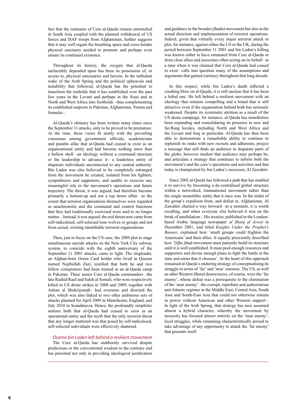fact that the remnants of Core al-Qaeda remain entrenched in South Asia coupled with the planned withdrawal of US forces and ISAF troops from Afghanistan, further suggests that it may well regain the breathing space and cross-border physical sanctuary needed to promote and perhaps even ensure its continued existence.

Throughout its history, the oxygen that al-Qaeda ineluctably depended upon has been its possession of, or access to, physical sanctuaries and havens. In the turbulent wake of the Arab Spring and the political upheavals and instability that followed, al-Qaeda has the potential to transform the toeholds that it has established over the past few years in the Levant and perhaps in the Sinai and in North and West Africa into footholds –thus complementing its established outposts in Pakistan, Afghanistan, Yemen and Somalia–.

Al-Qaeda's obituary has been written many times since the September 11 attacks, only to be proved to be premature. At the time, these views fit neatly with the prevailing consensus among government officials, academicians and pundits alike that al-Qaeda had ceased to exist as an organisational entity and had become nothing more than a hollow shell –an ideology without a command structure or the leadership to advance it– a leaderless entity of disparate individuals unconnected to any central authority. Bin Laden was also believed to be completely estranged from the movement he created, isolated from his fighters, sympathizers and supporters, and unable to exercise any meaningful role in the movement's operations and future trajectory. The threat, it was argued, had therefore become primarily a bottom-up and not a top down affair –to the extent that terrorist organisations themselves were regarded as anachronistic and the command and control functions that they had traditionally exercised were said to no longer matter–. Instead, it was argued, the real threat now came from self-radicalised, self-selected lone wolves or groups and not from actual, existing identifiable terrorist organisations.

Then, just to focus on the US case, the 2009 plot to stage simultaneous suicide attacks on the New York City subway system, to coincide with the eighth anniversary of the September 11 2001 attacks, came to light. The ringleader, an Afghan-born Green Card holder who lived in Queens named Najibullah Zazi, testified that both he and two fellow conspirators had been trained at an al-Qaeda camp in Pakistan. Three senior Core al-Qaeda commanders –the late Rashid Rauf and Saleh al Somali, who were respectively killed in US drone strikes in 2008 and 2009, together with Adnan al Shukrijumah– had overseen and directed the plot, which was also linked to two other ambitious sets of attacks planned for April 2009 in Manchester, England, and July 2010 in Scandinavia. Hence, the profoundly simplistic notions both that al-Qaeda had ceased to exist as an operational entity and the myth that the only terrorist threat that any longer mattered was that posed by self-radicalised, self-selected individuals were effectively shattered.

*Osama bin Laden left behind a resilient movement*

The Core al-Qaeda has stubbornly survived despite predictions or the conventional wisdom to the contrary and has persisted not only in providing ideological justification and guidance to the broader jihadist movement but also in the actual direction and implementation of terrorist operations. Indeed, given that virtually every major terrorist attack or plot, for instance, against either the US or the UK, during the period between September 11 2001 and bin Laden's killing was known either to have emanated from Core al-Qaeda or from close allies and associates often acting on its behalf –at a time when it was claimed that Core al-Qaeda had ceased to exist– calls into question many of the assumptions and arguments that gained currency throughout that long decade.

In this respect, while bin Laden's death inflicted a crushing blow on al-Qaeda, it is still unclear that it has been a lethal one. He left behind a resilient movement with an ideology that remains compelling and a brand that is still attractive even if the organisation behind both has seriously weakened. Despite its systematic attrition as a result of the US drone campaign, for instance, al-Qaeda has nonetheless been expanding and consolidating its presence in new and far-flung locales, including North and West Africa and the Levant and Iraq in particular. Al-Qaeda has thus been able to demonstrate a remarkable ability to continue to replenish its ranks with new recruits and adherents, project a message that still finds an audience in disparate parts of the globe, however modest that audience may perhaps be, and articulate a strategy that continues to inform both the movement's and the core's operations and activities and that today is championed by bin Laden's successor, Al Zawahiri.

Since 2002 al-Qaeda has followed a path that has enabled it to survive by becoming a de-centralised global structure within a networked, transnational movement rather than the single monolithic entity that it once was. In the midst of the group's expulsion from, and defeat in, Afghanistan, Al Zawahiri charted a way forward –at a moment, it is worth recalling, and when everyone else believed it was on the brink of annihilation–. His treatise, published in the Londonbased Arabic language newspaper *al Sharq al Aswat* in December 2001, and titled *Knights Under the Prophet's Banner*, explained how 'small groups could frighten the Americans' and their allies. It equally presciently described how '[t]he jihad movement must patiently build its structure until it is well established. It must pool enough resources and supporters and devise enough plans to fight the battle at the time and arena that it chooses'. At the heart of this approach remained al-Qaeda's enduring strategy of conceptualising its struggle in terms of 'far' and 'near' enemies. The US, as well as other Western liberal democracies, of course, were the 'far enemy', whose defeat was a prerequisite to the elimination of the 'near enemy' –the corrupt, reprobate and authoritarian anti-Islamic regimes in the Middle East, Central Asia, South Asia and South-East Asia that could not otherwise remain in power without American and other Western support–. In light of the Arab Spring, that strategy has now assumed almost a hybrid character, whereby the movement by necessity has focused almost entirely on the 'near enemy', local struggles, while remaining characteristically poised to take advantage of any opportunity to attack the 'far enemy' that presents itself.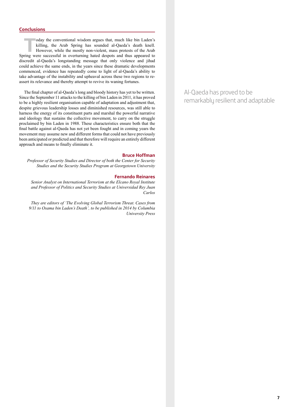## **Conclusions**

oday the conventional wisdom argues that, much like bin Laden's killing, the Arab Spring has sounded al-Qaeda's death knell.<br>However, while the mostly non-violent, mass protests of the Arab ring were successful in overturn killing, the Arab Spring has sounded al-Qaeda's death knell. However, while the mostly non-violent, mass protests of the Arab Spring were successful in overturning hated despots and thus appeared to discredit al-Qaeda's longstanding message that only violence and jihad could achieve the same ends, in the years since these dramatic developments commenced, evidence has repeatedly come to light of al-Qaeda's ability to take advantage of the instability and upheaval across these two regions to reassert its relevance and thereby attempt to revive its waning fortunes.

The final chapter of al-Qaeda's long and bloody history has yet to be written. Since the September 11 attacks to the killing of bin Laden in 2011, it has proved to be a highly resilient organisation capable of adaptation and adjustment that, despite grievous leadership losses and diminished resources, was still able to harness the energy of its constituent parts and marshal the powerful narrative and ideology that sustains the collective movement, to carry on the struggle proclaimed by bin Laden in 1988. These characteristics ensure both that the final battle against al-Qaeda has not yet been fought and in coming years the movement may assume new and different forms that could not have previously been anticipated or predicted and that therefore will require an entirely different approach and means to finally eliminate it.

## **Bruce Hoffman**

*Professor of Security Studies and Director of both the Center for Security Studies and the Security Studies Program at Georgetown University*

## **Fernando Reinares**

*Senior Analyst on International Terrorism at the Elcano Royal Institute and Professor of Politics and Security Studies at Universidad Rey Juan Carlos*

*They are editors of 'The Evolving Global Terrorism Threat. Cases from 9/11 to Osama bin Laden's Death', to be published in 2014 by Columbia University Press*  Al-Qaeda has proved to be remarkably resilient and adaptable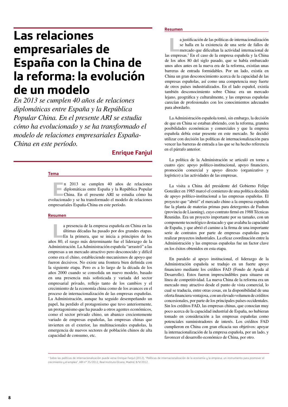## **Las relaciones empresariales de España con la China de la reforma: la evolución de un modelo**

*En 2013 se cumplen 40 años de relaciones diplomáticas entre España y la República Popular China. En el presente ARI se estudia cómo ha evolucionado y se ha transformado el modelo de relaciones empresariales España-China en este período.*

## **Enrique Fanjul**

#### **Tema**

**EREC EN 2013 se cumplen 40 años de relaciones** diplomáticas entre España y la República Popular China. En el presente ARI se estudia cómo ha plucioneado y se ha transformado el modelo de relaciones diplomáticas entre España y la República Popular evolucionado y se ha transformado el modelo de relaciones empresariales España-China en este período.

#### **Resumen**

a presencia de la empresa española en China en las<br>últimas décadas ha pasado por dos grandes etapas.<br>En la primera, que se inicia a principios de los<br>os 80 el rasgo más determinante fue el liderazgo de la últimas décadas ha pasado por dos grandes etapas. En la primera, que se inicia a principios de los años 80, el rasgo más determinante fue el liderazgo de la Administración. La Administración española "arrastró" a las empresas a un mercado atractivo pero desconocido y difícil como era el chino, estableciendo mecanismos de apoyo que fueron decisivos. No existe una frontera bien definida con la siguiente etapa. Pero es a lo largo de la década de los años 2000 cuando se consolida un nuevo modelo, basado en una presencia más sofisticada y variada del sector empresarial privado, reflejo tanto de los cambios y el crecimiento de la economía china como de los avances en el proceso de internacionalización de las empresas españolas. La Administración, aunque ha seguido desempeñando un papel, ha perdido el protagonismo que tuvo anteriormente, un protagonismo que ha pasado a otros agentes económicos, como el sector privado chino, un abanico crecientemente variado de empresas españolas, las empresas chinas que invierten en el exterior, las multinacionales españolas, la emergencia de nuevos sectores de población chinos de alta capacidad de consumo, etc.

### **Resumen**

a justificación de las políticas de internacionalización se halla en la existencia de una serie de fallos de mercado que dificultan la actividad internacional de sempresas <sup>1</sup> En el caso de la empresa española y la China se halla en la existencia de una serie de fallos de las empresas.<sup>1</sup> En el caso de la empresa española y la China de los años 80 del siglo pasado, que se había embarcado unos años antes en la nueva era de la reforma, existían unas barreras de entrada formidables. Por un lado, existía en China un gran desconocimiento acerca de la capacidad de las empresas españolas, así como una competencia muy fuerte de otros países industrializados. En el lado español, existía también desconocimiento sobre China: era un mercado lejano, geográfica y culturalmente, y las empresas españolas carecían de profesionales con los conocimientos adecuados para abordarlo.

La Administración española tomó, sin embargo, la decisión de que en China se estaban abriendo, con la reforma, grandes posibilidades económicas y comerciales y que la empresa española debía estar presente en este mercado. Se decidió utilizar con decisión las políticas de internacionalización para vencer las barreras de entrada a las que se ha hecho referencia en el párrafo anterior.

La política de la Administración se articuló en torno a cuatro ejes: apoyo político-institucional, apoyo financiero, promoción comercial y apoyo directo (organizativo y logístico) a las actividades de las empresas.

La visita a China del presidente del Gobierno Felipe González en 1985 marcó el comienzo de una política decidida de apoyo político-institucional a las empresas españolas. El proyecto que "abrió" el mercado chino a la empresa española fue la planta de materias primas para detergentes de Fushun (provincia de Liaoning), cuyo contrato firmó en 1988 Técnicas Reunidas. Era un proyecto importante por su tamaño, con un componente tecnológico destacado y que avalaba la capacidad de España, y que abrió el camino a la firma de una importante serie de contratos por parte de empresas españolas para realizar proyectos industriales. La eficaz coordinación entre la Administración y las empresas españolas fue un factor clave en los éxitos obtenidos en esta etapa.

En paralelo al apoyo institucional, el liderazgo de la Administración española se tradujo en un fuerte apoyo financiero mediante los créditos FAD (Fondo de Ayuda al Desarrollo). Estos fueron imprescindibles para situarse en línea de competitividad. La nueva China de la reforma era un mercado muy atractivo desde el punto de vista comercial, lo cual se traducía, entre otras cosas, en la disponibilidad de una oferta financiera ventajosa, con un elevado volumen de créditos concesionales, por parte de los principales países occidentales. Sin los créditos FAD, las empresas chinas, que conocían muy poco acerca de la capacidad industrial de España, no hubieran tomado en consideración a las empresas españolas como potenciales suministradores de interés. Los créditos FAD cumplieron en China con gran eficacia sus objetivos: apoyar la internacionalización de la empresa española, por un lado, y favorecer el desarrollo económico de China, por otro.

<sup>&</sup>lt;sup>1</sup> Sobre las políticas de internacionalización puede verse Enrique Fanjul (2012), "Políticas de internacionalización de la economía y la empresa: un instrumento para promover el crecimiento y el empleo", ARI nº 35/2012, Real Instituto Elcano, Madrid, 8/V/2012.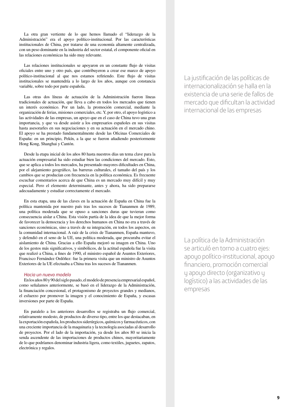La otra gran vertiente de lo que hemos llamado el "liderazgo de la Administración" era el apoyo político-institucional. Por las características institucionales de China, por tratarse de una economía altamente centralizada, con un peso dominante en la industria del sector estatal, el componente oficial en las relaciones económicas ha sido muy relevante.

Las relaciones institucionales se apoyaron en un constante flujo de visitas oficiales entre uno y otro país, que contribuyeron a crear ese marco de apoyo político-institucional al que nos estamos refiriendo. Este flujo de visitas institucionales se mantendría a lo largo de los años, aunque con constancia variable, sobre todo por parte española.

Las otras dos líneas de actuación de la Administración fueron líneas tradicionales de actuación, que lleva a cabo en todos los mercados que tienen un interés económico. Por un lado, la promoción comercial, mediante la organización de ferias, misiones comerciales, etc. Y, por otro, el apoyo logístico a las actividades de las empresas, un apoyo que en el caso de China tuvo una gran importancia, y que va desde asistir a los empresarios españoles en sus visitas hasta asesorarles en sus negociaciones y en su actuación en el mercado chino. El apoyo se ha prestado fundamentalmente desde las Oficinas Comerciales de España: en un principio, Pekín, a la que se fueron añadiendo posteriormente Hong Kong, Shanghai y Cantón.

Desde la etapa inicial de los años 80 hasta nuestros días un tema clave para la actuación empresarial ha sido estudiar bien las condiciones del mercado. Esto, que se aplica a todos los mercados, ha presentado mayores dificultades en China, por el alejamiento geográfico, las barreras culturales, el tamaño del país y los cambios que se producían con frecuencia en la política económica. Es frecuente escuchar comentarios acerca de que China es un mercado muy difícil y muy especial. Pero el elemento determinante, antes y ahora, ha sido prepararse adecuadamente y estudiar correctamente el mercado.

En esta etapa, una de las claves en la actuación de España en China fue la política mantenida por nuestro país tras los sucesos de Tiananmen de 1989, una política moderada que se opuso a sanciones duras que tuvieran como consecuencia aislar a China. Esta visión partía de la idea de que la mejor forma de favorecer la democracia y los derechos humanos en China no era a través de sanciones económicas, sino a través de su integración, en todos los aspectos, en la comunidad internacional. A raíz de la crisis de Tiananmen, España mantuvo, y defendió en el seno de la UE, una política moderada, que procuraba evitar el aislamiento de China. Gracias a ello España mejoró su imagen en China. Uno de los gestos más significativos, y simbólicos, de la actitud española fue la visita que realizó a China, a fines de 1990, el ministro español de Asuntos Exteriores, Francisco Fernández Ordóñez: fue la primera visita que un ministro de Asuntos Exteriores de la UE efectuaba a China tras los sucesos de Tiananmen.

### *Hacia un nuevo modelo*

En los años 80 y 90 del siglo pasado, el modelo de presencia empresarial español, como señalamos anteriormente, se basó en el liderazgo de la Administración, la financiación concesional, el protagonismo de proyectos grandes y medianos, el esfuerzo por promover la imagen y el conocimiento de España, y escasas inversiones por parte de España.

En paralelo a los anteriores desarrollos se registraba un flujo comercial, relativamente modesto, de productos de diverso tipo, entre los que destacaban, en la exportación española, los productos siderúrgicos, químicos y farmacéuticos, con una creciente importancia de la maquinaria y la tecnología asociadas al desarrollo de proyectos. Por el lado de la importación, ya desde los años 80 se inicia la senda ascendente de las importaciones de productos chinos, mayoritariamente de lo que podríamos denominar industria ligera, como textiles, juguetes, zapatos, electrónica y regalos.

La justificación de las políticas de internacionalización se halla en la existencia de una serie de fallos de mercado que dificultan la actividad internacional de las empresas

La política de la Administración se articuló en torno a cuatro ejes: apoyo político-institucional, apoyo financiero, promoción comercial y apoyo directo (organizativo y logístico) a las actividades de las empresas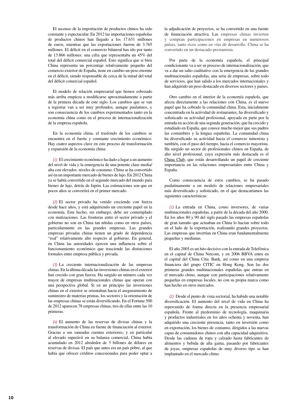El ascenso de la importación de productos chinos ha sido constante y espectacular. En 2012 las importaciones españolas de productos chinos han llegado a los 17.631 millones de euros, mientras que las exportaciones fueron de 3.765 millones. El déficit en el comercio bilateral has ido por tanto de 13.866 millones: una cifra que representaba un 45% del total del déficit comercial español. Esto significa que si bien China representa un porcentaje relativamente pequeño del comercio exterior de España, tiene en cambio un peso enorme en el déficit, siendo responsable de cerca de la mitad del total del déficit comercial español.

El modelo de relación empresarial que hemos esbozado más arriba empieza a modificarse aproximadamente a partir de la primera década de este siglo. Los cambios que se van a registrar van a ser muy profundos, aunque paulatinos, y son consecuencia de los cambios experimentados tanto en la economía china como en el proceso de internacionalización de la empresa española.

En la economía china, el trasfondo de los cambios se encuentra en el fuerte y constante crecimiento económico. Hay cuatro aspectos clave en este proceso de transformación y expansión de la economía china:

*(1)* El crecimiento económico ha dado a lugar a un aumento del nivel de vida y la emergencia de una potente clase media/ alta con elevados niveles de consumo. China se ha convertido así en un importante mercado de bienes de lujo. En 2012 China ya se había convertido en el segundo mercado del mundo para bienes de lujo, detrás de Japón. Las estimaciones son que en pocos años se convertirá en el primer mercado.

*(2)* El sector privado ha venido creciendo con fuerza desde hace años, y está adquiriendo un creciente papel en la economía. Este hecho, sin embargo, debe ser contemplado con matizaciones. Las fronteras entre el sector privado y el gobierno no son en China tan nítidas como en otros países, particularmente en las grandes empresas. Las grandes empresas privadas chinas tienen un grado de dependencia "real" relativamente alto respecto al gobierno. En general, en China las autoridades ejercen una influencia sobre el funcionamiento económico que trasciende las distinciones formales entre empresa pública y privada.

*(3)* La creciente internacionalización de las empresas chinas. En la última década las inversiones chinas en el exterior han crecido con gran fuerza. Ha surgido un número cada vez mayor de empresas multinacionales chinas que operan con una perspectiva global. Si en un principio las inversiones chinas en el exterior se orientaban hacia el aseguramiento de suministro de materias primas, los sectores y la orientación de las empresas chinas se están diversificando. En el Fortune 500 de 2012 aparecen 78 empresas chinas, tres de ellas entre las 10 primeras.

*(4)* El aumento de las reservas de divisas chinas y la transformación de China en fuente de financiación al exterior. Gracias a sus saneadas cuentas exteriores, y en particular al elevado superávit en su balanza comercial, China había acumulado en 2012 alrededor de 3 billones de dólares en reservas de divisas. El país que antes era un país pobre, al que había que ofrecer créditos concesionales para poder optar a la adjudicación de proyectos, se ha convertido en una fuente de financiación atractiva. Las empresas chinas invierten y compran participaciones en empresas en numerosos países, tanto ricos como en vías de desarrollo. China se ha convertido en un destacado prestamista.

Por parte de la economía española, el principal condicionante va a ser su proceso de internacionalización, que va a dar un salto cualitativo con la emergencia de las grandes multinacionales españolas, una serie de empresas, sobre todo de servicios, que han salido a los mercados internacionales y han adquirido un peso destacado en diversos sectores y países.

Otro cambio en el interior de la economía española, que afecta directamente a las relaciones con China, es el nuevo papel que ha cobrado la comunidad china. Esta, inicialmente concentrada en la actividad de restaurantes, ha diversificado y sofisticado su actividad profesional, apoyada en parte por la entrada en acción de una segunda generación, que ha crecido y estudiado en España, que conoce mucho mejor que sus padres las costumbres y la lengua españolas. La comunidad china ha diversificado su actividad hacia el comercio minorista y también, con el paso del tiempo, hacia el comercio mayorista. Ha surgido un sector de profesionales chinos en España, de alto nivel profesional, cuya expresión más destacada es el China Club, que están desarrollando un papel de creciente importancia en las relaciones empresariales entre China y España.

Como consecuencia de estos cambios, se ha pasado paulatinamente a un modelo de relaciones empresariales más diversificado y sofisticado, en el que destacaríamos las siguientes características:

*(1)* La entrada en China, como inversores, de varias multinacionales españolas, a partir de la década del año 2000. En los años 80 y 90 del siglo pasado las empresas españolas de gran tamaño que actuaban en China lo hacían sobre todo en el lado de la exportación, realizando grandes proyectos. Las empresas que invertían en China eran fundamentalmente pequeñas y medianas.

El año 2005 es un hito decisivo con la entrada de Telefónica en el capital de China Netcom, y en 2006 BBVA entra en el capital del China Citic Bank, así como en una empresa financiera del grupo CITIC en Hong Kong. Son las dos primeras grandes multinacionales españolas que entran en el mercado chino, aunque con participaciones relativamente pequeñas en empresas locales, no con su propia marca como han hecho en otros mercados.

*(2)* Desde el punto de vista sectorial, ha habido una notable diversificación. El aumento del nivel de vida en China ha repercutido de forma directa en la presencia empresarial española. Frente al predominio de tecnología, maquinaria y productos industriales en los años ochenta y noventa, han adquirido una creciente presencia, tanto en inversión como en exportación, los bienes de consumo, dirigidos a las nuevas capas de consumidores chinos con alta capacidad adquisitiva. Desde las cadenas de ropa y calzado hasta fabricantes de alimentos y bebida de alta gama, pasando por fabricantes de joyas, empresas españolas de muy diverso tipo se han implantado en el mercado chino.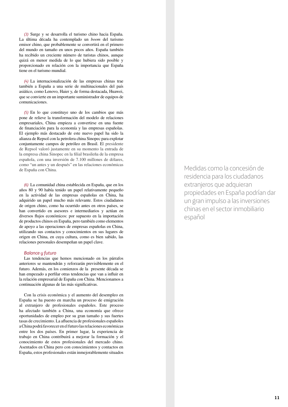*(3)* Surge y se desarrolla el turismo chino hacia España. La última década ha contemplado un *boom* del turismo emisor chino, que probablemente se convertirá en el primero del mundo en tamaño en unos pocos años. España también ha recibido un creciente número de turistas chinos, aunque quizá en menor medida de lo que hubiera sido posible y proporcionado en relación con la importancia que España tiene en el turismo mundial.

*(4)* La internacionalización de las empresas chinas trae también a España a una serie de multinacionales del país asiático, como Lenovo, Haier y, de forma destacada, Huawei, que se convierte en un importante suministrador de equipos de comunicaciones.

*(5)* En lo que constituye uno de los cambios que más pone de relieve la transformación del modelo de relaciones empresariales, China empieza a convertirse en una fuente de financiación para la economía y las empresas españolas. El ejemplo más destacado de este nuevo papel ha sido la alianza de Repsol con la petrolera china Sinopec para explotar conjuntamente campos de petróleo en Brasil. El presidente de Repsol valoró justamente en su momento la entrada de la empresa china Sinopec en la filial brasileña de la empresa española, con una inversión de 7.100 millones de dólares, como "un antes y un después" en las relaciones económicas de España con China.

*(6)* La comunidad china establecida en España, que en los años 80 y 90 había tenido un papel relativamente pequeño en la actividad de las empresas españolas en China, ha adquirido un papel mucho más relevante. Estos ciudadanos de origen chino, como ha ocurrido antes en otros países, se han convertido en asesores e intermediarios y actúan en diversos flujos económicos: por supuesto en la importación de productos chinos en España, pero también como elementos de apoyo a las operaciones de empresas españolas en China, utilizando sus contactos y conocimientos en sus lugares de origen en China, en cuya cultura, como es bien sabido, las relaciones personales desempeñan un papel clave.

## *Balance y futuro*

Las tendencias que hemos mencionado en los párrafos anteriores se mantendrán y reforzarán previsiblemente en el futuro. Además, en los comienzos de la presente década se han empezado a perfilar otras tendencias que van a influir en la relación empresarial de España con China. Mencionamos a continuación algunas de las más significativas.

Con la crisis económica y el aumento del desempleo en España se ha puesto en marcha un proceso de emigración al extranjero de profesionales españoles. Este proceso ha afectado también a China, una economía que ofrece oportunidades de empleo por su gran tamaño y sus fuertes tasas de crecimiento. La afluencia de profesionales españoles a China podrá favorecer en el futuro las relaciones económicas entre los dos países. En primer lugar, la experiencia de trabajo en China contribuirá a mejorar la formación y el conocimiento de estos profesionales del mercado chino. Asentados en China pero con conocimientos y contactos en España, estos profesionales están inmejorablemente situados

Medidas como la concesión de residencia para los ciudadanos extranjeros que adquieran propiedades en España podrían dar un gran impulso a las inversiones chinas en el sector inmobiliario español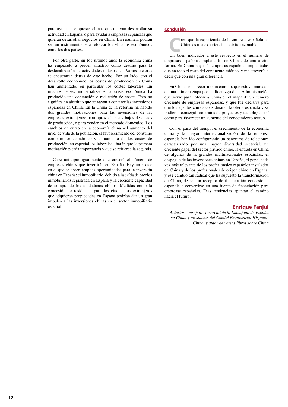para ayudar a empresas chinas que quieran desarrollar su actividad en España, o para ayudar a empresas españolas que quieran desarrollar negocios en China. En resumen, podrán ser un instrumento para reforzar los vínculos económicos entre los dos países.

Por otra parte, en los últimos años la economía china ha empezado a perder atractivo como destino para la deslocalización de actividades industriales. Varios factores se encuentran detrás de este hecho. Por un lado, con el desarrollo económico los costes de producción en China han aumentado, en particular los costes laborales. En muchos países industrializados la crisis económica ha producido una contención o reducción de costes. Esto no significa en absoluto que se vayan a contraer las inversiones españolas en China. En la China de la reforma ha habido dos grandes motivaciones para las inversiones de las empresas extranjeras: para aprovechar sus bajos de costes de producción, o para vender en el mercado doméstico. Los cambios en curso en la economía china –el aumento del nivel de vida de la población, el favorecimiento del consumo como motor económico y el aumento de los costes de producción, en especial los laborales– harán que la primera motivación pierda importancia y que se refuerce la segunda.

Cabe anticipar igualmente que crecerá el número de empresas chinas que invertirán en España. Hay un sector en el que se abren amplias oportunidades para la inversión china en España: el inmobiliario, debido a la caída de precios inmobiliarios registrada en España y la creciente capacidad de compra de los ciudadanos chinos. Medidas como la concesión de residencia para los ciudadanos extranjeros que adquieran propiedades en España podrían dar un gran impulso a las inversiones chinas en el sector inmobiliario español.

## **Conclusión**

**C**reo que la experiencia de la empresa española en China es una experiencia de éxito razonable.

Un buen indicador a este respecto es el número de empresas españolas implantadas en China, de una u otra forma. En China hay más empresas españolas implantadas que en todo el resto del continente asiático, y me atrevería a decir que con una gran diferencia.

En China se ha recorrido un camino, que estuvo marcado en una primera etapa por un liderazgo de la Administración que sirvió para colocar a China en el mapa de un número creciente de empresas españolas, y que fue decisiva para que los agentes chinos consideraran la oferta española y se pudieran conseguir contratos de proyectos y tecnología, así como para favorecer un aumento del conocimiento mutuo.

Con el paso del tiempo, el crecimiento de la economía china y la mayor internacionalización de la empresa española han ido configurando un panorama de relaciones caracterizado por una mayor diversidad sectorial, un creciente papel del sector privado chino, la entrada en China de algunas de la grandes multinacionales españolas, el despegue de las inversiones chinas en España, el papel cada vez más relevante de los profesionales españoles instalados en China y de los profesionales de origen chino en España, y ese cambio tan radical que ha supuesto la transformación de China, de ser un receptor de financiación concesional española a convertirse en una fuente de financiación para empresas españolas. Esas tendencias apuntan el camino hacia el futuro.

## Enrique Fanjul

*Anterior consejero comercial de la Embajada de España en China y presidente del Comité Empresarial Hispano-Chino, y autor de varios libros sobre China*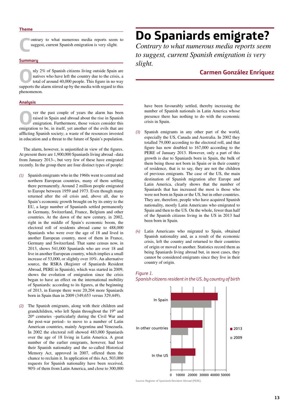#### **Theme**

**Contrary to what numerous media reports seem to suggest, current Spanish emigration is very slight.** suggest, current Spanish emigration is very slight.

#### **Summary**

nly 2% of Spanish citizens living outside Spain are<br>natives who have left the country due to the crisis, a<br>total of around 40,000 people. This figure in no way<br>supports the alarm stirred up by the media with regard to this natives who have left the country due to the crisis, a total of around 40,000 people. This figure in no way supports the alarm stirred up by the media with regard to this phenomenon.

## **Analysis**

**O**ver the past couple of years the alarm has been raised in Spani and abroad about the rise in Spanish emigration. Furthermore, those voices consider this emigration to be in itself yet another of the evils that are raised in Spain and abroad about the rise in Spanish emigration. Furthermore, those voices consider this emigration to be, in itself, yet another of the evils that are afflicting Spanish society; a waste of the resources invested in education and a threat to the future of Spain's population.

The alarm, however, is unjustified in view of the figures. At present there are 1,900,000 Spaniards living abroad –data from January 2013–, but very few of these have emigrated recently. In the group there are four distinct types of people:

- *(1)* Spanish emigrants who in the 1960s went to central and northern European countries, many of them settling there permanently. Around 2 million people emigrated to Europe between 1959 and 1973. Even though many returned after the oil crisis and, above all, due to Spain's economic growth brought on by its entry to the EU, a large number of Spaniards settled permanently in Germany, Switzerland, France, Belgium and other countries. At the dawn of the new century, in 2002, right in the middle of Spain's economic boom, the electoral roll of residents abroad came to 488,000 Spaniards who were over the age of 18 and lived in another European country, most of them in France, Germany and Switzerland. That same census now, in 2013, shows 541,000 Spaniards who are over 18 and live in another European country, which implies a small increase of 53,000, or slightly over 10%. An alternative source, the RSRA (Register of Spaniards Resident Abroad, PERE in Spanish), which was started in 2009, shows the evolution of emigration since the crisis began to have an effect on the international mobility of Spaniards: according to its figures, at the beginning of 2013, in Europe there were 20,204 more Spaniards born in Spain than in 2009 (349,653 versus 329,449).
- *(2)* The Spanish emigrants, along with their children and grandchildren, who left Spain throughout the 19<sup>th</sup> and 20th centuries –particularly during the Civil War and the post-war period– to move to a number of Latin American countries, mainly Argentina and Venezuela. In 2002 the electoral roll showed 483,000 Spaniards over the age of 18 living in Latin America. A great number of the earlier emigrants, however, had lost their Spanish nationality and the so-called Historical Memory Act, approved in 2007, offered them the chance to reclaim it. In application of this Act, 503,000 requests for Spanish nationality have been received, 90% of them from Latin America, and close to 300,000

# **Do Spaniards emigrate?**

*Contrary to what numerous media reports seem to suggest, current Spanish emigration is very slight.*

## **Carmen González Enríquez**

have been favourably settled, thereby increasing the number of Spanish nationals in Latin America whose presence there has nothing to do with the economic crisis in Spain.

- *(3)* Spanish emigrants in any other part of the world, especially the US, Canada and Australia. In 2002 they totalled 79,000 according to the electoral roll, and that figure has now doubled to 167,000 according to the PERE of January 2013. However, only a part of this growth is due to Spaniards born in Spain, the bulk of them being those not born in Spain or in their country of residence, that is to say, they are not the children of previous emigrants. The case of the US, the main destination of Spanish migration after Europe and Latin America, clearly shows that the number of Spaniards that has increased the most is those who were not born in Spain or the US, but in other countries. They are, therefore, people who have acquired Spanish nationality, mostly Latin Americans who emigrated to Spain and then to the US. On the whole, fewer than half of the Spanish citizens living in the US in 2013 had been born in Spain.
- *(4)* Latin Americans who migrated to Spain, obtained Spanish nationality and, as a result of the economic crisis, left the country and returned to their countries of origin or moved to another. Statistics record them as being Spaniards living abroad but, in most cases, they cannot be considered emigrants since they live in their country of origin.



## *Figure 1. Spanish citizens resident in the US, by country of birth*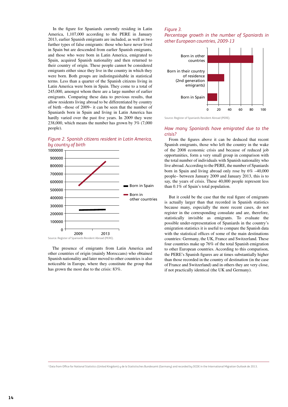In the figure for Spaniards currently residing in Latin America, 1,107,000 according to the PERE in January 2013, earlier Spanish emigrants are included, as well as two further types of false emigrants: those who have never lived in Spain but are descended from earlier Spanish emigrants, and those who were born in Latin America, emigrated to Spain, acquired Spanish nationality and then returned to their country of origin. These people cannot be considered emigrants either since they live in the country in which they were born. Both groups are indistinguishable in statistical terms. Less than a quarter of the Spanish citizens living in Latin America were born in Spain. They come to a total of 245,000, amongst whom there are a large number of earlier emigrants. Comparing these data to previous results, that allow residents living abroad to be differentiated by country of birth –those of 2009– it can be seen that the number of Spaniards born in Spain and living in Latin America has hardly varied over the past five years. In 2009 they were 238,000, which means the number has grown by 3% (7,000 people).





The presence of emigrants from Latin America and other countries of origin (mainly Moroccans) who obtained Spanish nationality and later moved to other countries is also noticeable in Europe, where they constitute the group that has grown the most due to the crisis: 83%.

## *Figure 3.*

*Percentage growth in the number of Spaniards in other European countries, 2009-13*



Source: Register of Spaniards Resident Abroad (PERE).

## *How many Spaniards have emigrated due to the crisis?*

From the figures above it can be deduced that recent Spanish emigrants, those who left the country in the wake of the 2008 economic crisis and because of reduced job opportunities, form a very small group in comparison with the total number of individuals with Spanish nationality who live abroad. According to the PERE, the number of Spaniards born in Spain and living abroad only rose by 6% –40,000 people– between January 2009 and January 2013, this is to say, the years of crisis. These 40,000 people represent less than 0.1% of Spain's total population.

But it could be the case that the real figure of emigrants is actually larger than that recorded in Spanish statistics because many, especially the more recent cases, do not register in the corresponding consulate and are, therefore, statistically invisible as emigrants. To evaluate the possible under-representation of Spaniards in the country's emigration statistics it is useful to compare the Spanish data with the statistical offices of some of the main destinations countries: Germany, the UK, France and Switzerland. These four countries make up 76% of the total Spanish emigration to other European countries. According to this comparison, the PERE's Spanish figures are at times substantially higher than those recorded in the country of destination (in the case of France and Switzerland) and in others they are very close, if not practically identical (the UK and Germany).

2 Data from Office for National Statistics (United Kingdom) y de la Statistisches Bundesamt (Germany) and recorded by OCDE in the International Migration Outlook de 2013.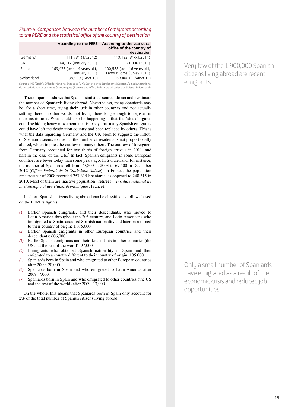*Figure 4. Comparison between the number of emigrants according to the PERE and the statistical office of the country of destination*

|             |                                              | According to the PERE According to the statistical<br>office of the country of<br>destination |
|-------------|----------------------------------------------|-----------------------------------------------------------------------------------------------|
| Germany     | 111,731 (1/l/2012)                           | 110,193 (31/XII/2011)                                                                         |
| UK          | 64,317 (January 2011)                        | 71,000 (2011)                                                                                 |
| France      | 169,473 (over 14 years old,<br>January 2011) | 100,588 (over 16 years old,<br>Labour Force Survey 2011)                                      |
| Switzerland | 99,539 (1/l/2013)                            | 69,400 (31/XII/2012)                                                                          |

Sources: INE (Spain); Office for National Statistics (UK); Statistisches Bundesamt (Germany); Institute national de la statistique et des études économiques (France); and Office Federal de la Statistique Suisse (Switzerland).

The comparison shows that Spanish statistical sources do not underestimate the number of Spaniards living abroad. Nevertheless, many Spaniards may be, for a short time, trying their luck in other countries and not actually settling there, in other words, not living there long enough to register in their institutions. What could also be happening is that the 'stock' figures could be hiding heavy movement, that is to say, that many Spanish emigrants could have left the destination country and been replaced by others. This is what the data regarding Germany and the UK seem to suggest: the inflow of Spaniards seems to rise but the number of residents is not proportionally altered, which implies the outflow of many others. The outflow of foreigners from Germany accounted for two thirds of foreign arrivals in 2011, and half in the case of the UK.<sup>2</sup> In fact, Spanish emigrants in some European countries are fewer today than some years ago. In Switzerland, for instance, the number of Spaniards fell from 77,800 in 2003 to 69,400 in December 2012 (*Office Federal de la Statistique Suisse*). In France, the population *recensement* of 2008 recorded 257,315 Spaniards, as opposed to 248,315 in 2010. Most of them are inactive population –retirees– (*Institute national de la statistique et des études économiques*, France).

In short, Spanish citizens living abroad can be classified as follows based on the PERE's figures:

- *(1)* Earlier Spanish emigrants, and their descendants, who moved to Latin America throughout the  $20<sup>th</sup>$  century, and Latin Americans who immigrated to Spain, acquired Spanish nationality and later on returned to their country of origin: 1,075,000.
- *(2)* Earlier Spanish emigrants in other European countries and their descendants: 606,000.
- *(3)* Earlier Spanish emigrants and their descendants in other countries (the US and the rest of the world): 97,000.
- *(4)* Immigrants who obtained Spanish nationality in Spain and then emigrated to a country different to their country of origin: 105,000.
- *(5)* Spaniards born in Spain and who emigrated to other European countries after 2009: 20,000.
- *(6)* Spaniards born in Spain and who emigrated to Latin America after 2009: 7,000.
- *(7)* Spaniards born in Spain and who emigrated to other countries (the US and the rest of the world) after 2009: 13,000.

On the whole, this means that Spaniards born in Spain only account for 2% of the total number of Spanish citizens living abroad.

Very few of the 1,900,000 Spanish citizens living abroad are recent emigrants

Only a small number of Spaniards have emigrated as a result of the economic crisis and reduced job opportunities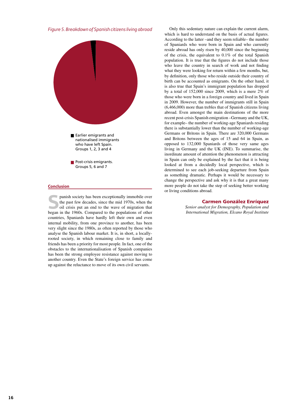



### **Conclusion**

**S**panish society has been exceptionally immobile over<br>the past few decades, since the mid 1970s, when the<br>oil crisis put an end to the wave of migration that<br>heaven in the 1960s. Compared to the populations of other the past few decades, since the mid 1970s, when the began in the 1960s. Compared to the populations of other countries, Spaniards have hardly left their own and even internal mobility, from one province to another, has been very slight since the 1980s, as often reported by those who analyse the Spanish labour market. It is, in short, a locallyrooted society, in which remaining close to family and friends has been a priority for most people. In fact, one of the obstacles to the internationalisation of Spanish companies has been the strong employee resistance against moving to another country. Even the State's foreign service has come up against the reluctance to move of its own civil servants.

Only this sedentary nature can explain the current alarm, which is hard to understand on the basis of actual figures. According to the latter –and they seem reliable– the number of Spaniards who were born in Spain and who currently reside abroad has only risen by 40,000 since the beginning of the crisis, the equivalent to 0.1% of the total Spanish population. It is true that the figures do not include those who leave the country in search of work and not finding what they were looking for return within a few months, but, by definition, only those who reside outside their country of birth can be accounted as emigrants. On the other hand, it is also true that Spain's immigrant population has dropped by a total of 152,000 since 2009, which is a mere 2% of those who were born in a foreign country and lived in Spain in 2009. However, the number of immigrants still in Spain (6,466,000) more than trebles that of Spanish citizens living abroad. Even amongst the main destinations of the more recent post-crisis Spanish emigration –Germany and the UK, for example– the number of working-age Spaniards residing there is substantially lower than the number of working-age Germans or Britons in Spain. There are 320,000 Germans and Britons between the ages of 15 and 64 in Spain, as opposed to 132,000 Spaniards of those very same ages living in Germany and the UK (INE). To summarise, the inordinate amount of attention the phenomenon is attracting in Spain can only be explained by the fact that it is being looked at from a decidedly local perspective, which is determined to see each job-seeking departure from Spain as something dramatic. Perhaps it would be necessary to change the perspective and ask why it is that a great many more people do not take the step of seeking better working or living conditions abroad.

## Carmen González Enríquez

*Senior analyst for Demography, Population and International Migration, Elcano Royal Institute*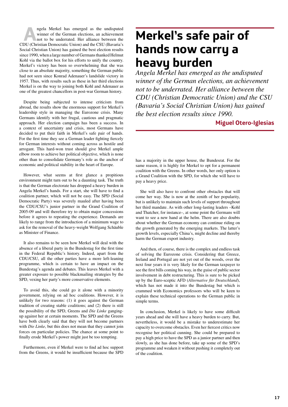**A**ngela Merkel has emerged as the undisputed winner of the German elections, an achievement not to be underrated. Her alliance between the CDU (Christian Democratic Union) and the CSU (Bavaria's Social Christian Union) has gained the best election results since 1990, when a large number of Germans thanked Helmut Kohl via the ballot box for his efforts to unify the country. Merkel's victory has been so overwhelming that she was close to an absolute majority, something the German public had not seen since Konrad Adenauer's landslide victory in 1957. Thus, with results such as these in her third elections Merkel is on the way to joining both Kohl and Adenauer as one of the greatest chancellors in post-war German history.

Despite being subjected to intense criticism from abroad, the results show the enormous support for Merkel's leadership style in managing the Eurozone crisis. Many Germans identify with her frugal, cautious and pragmatic approach. Her election campaign has been a success. In a context of uncertainty and crisis, most Germans have decided to put their faith in Merkel's safe pair of hands. For the first time they see a German leader fighting fiercely for German interests without coming across as hostile and arrogant. This hard-won trust should give Merkel ample elbow room to achieve her political objective, which is none other than to consolidate Germany's role as the anchor of economic and political stability in the heart of Europe.

However, what seems at first glance a propitious environment might turn out to be a daunting task. The truth is that the German electorate has dropped a heavy burden in Angela Merkel's hands. For a start, she will have to find a coalition partner, which will not be easy. The SPD (Social Democratic Party) was severely mauled after having been the CDU/CSU's junior partner in the Grand Coalition of 2005-09 and will therefore try to obtain major concessions before it agrees to repeating the experience. Demands are likely to range from the introduction of a minimum wage to ask for the removal of the heavy-weight Wolfgang Schäuble as Minister of Finance.

It also remains to be seen how Merkel will deal with the absence of a liberal party in the Bundestag for the first time in the Federal Republic's history. Indeed, apart from the CDU/CSU, all the other parties have a more left-leaning programme, which is certain to have an impact on the Bundestag's agenda and debates. This leaves Merkel with a greater exposure to possible blackmailing strategies by the SPD, vexing her party's more conservative elements.

To avoid this, she could go it alone with a minority government, relying on ad hoc coalitions. However, it is unlikely for two reasons: (1) it goes against the German tradition of creating stable coalitions; and (2) there is still the possibility of the SPD, Greens and *Die Linke* gangingup against her at certain moments. The SPD and the Greens have both clearly said that they will not become partners with *Die Linke*, but this does not mean that they cannot join forces on particular policies. The chance at some point to finally erode Merkel's power might just be too tempting.

Furthermore, even if Merkel were to find ad hoc support from the Greens, it would be insufficient because the SPD

## **Merkel's safe pair of hands now carry a heavy burden**

*Angela Merkel has emerged as the undisputed winner of the German elections, an achievement not to be underrated. Her alliance between the CDU (Christian Democratic Union) and the CSU (Bavaria's Social Christian Union) has gained the best election results since 1990.*

## **Miguel Otero-Iglesias**

has a majority in the upper house, the Bundesrat. For the same reason, it is highly for Merkel to opt for a permanent coalition with the Greens. In other words, her only option is a Grand Coalition with the SPD, for which she will have to pay a heavy price.

She will also have to confront other obstacles that will come her way. She is now at the zenith of her popularity, but is unlikely to maintain such levels of support throughout her third mandate. As with other long-lasting leaders –Kohl and Thatcher, for instance–, at some point the Germans will want to see a new hand at the helm. There are also doubts about whether the German economy can continue riding on the growth generated by the emerging markets. The latter's growth levels, especially China's, might decline and thereby harm the German export industry.

And then, of course, there is the complex and endless task of solving the Eurozone crisis. Considering that Greece, Ireland and Portugal are not yet out of the woods, over the next four years it is very likely for the German taxpayer to see the first bills coming his way, in the guise of public sector involvement in debt restructuring. This is sure to be picked up by the Euro-sceptic AFD (*Alternative für Deutschland*), which has not made it into the Bundestag but which is crammed with Economics professors who will be keen to explain these technical operations to the German public in simple terms.

In conclusion, Merkel is likely to have some difficult years ahead and she will have a heavy burden to carry. But, nevertheless, it would be a mistake to underestimate her capacity to overcome obstacles. Even her fiercest critics now recognise her political cunning. She could be prepared to pay a high price to have the SPD as a junior partner and then slowly, as she has done before, take up some of the SPD's programme and weaken it without pushing it completely out of the coalition.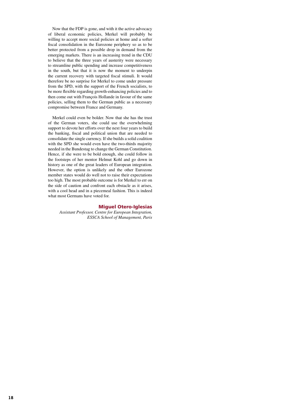Now that the FDP is gone, and with it the active advocacy of liberal economic policies, Merkel will probably be willing to accept more social policies at home and a softer fiscal consolidation in the Eurozone periphery so as to be better protected from a possible drop in demand from the emerging markets. There is an increasing trend in the CDU to believe that the three years of austerity were necessary to streamline public spending and increase competitiveness in the south, but that it is now the moment to underpin the current recovery with targeted fiscal stimuli. It would therefore be no surprise for Merkel to come under pressure from the SPD, with the support of the French socialists, to be more flexible regarding growth-enhancing policies and to then come out with François Hollande in favour of the same policies, selling them to the German public as a necessary compromise between France and Germany.

Merkel could even be bolder. Now that she has the trust of the German voters, she could use the overwhelming support to devote her efforts over the next four years to build the banking, fiscal and political union that are needed to consolidate the single currency. If she builds a solid coalition with the SPD she would even have the two-thirds majority needed in the Bundestag to change the German Constitution. Hence, if she were to be bold enough, she could follow in the footsteps of her mentor Helmut Kohl and go down in history as one of the great leaders of European integration. However, the option is unlikely and the other Eurozone member states would do well not to raise their expectations too high. The most probable outcome is for Merkel to err on the side of caution and confront each obstacle as it arises, with a cool head and in a piecemeal fashion. This is indeed what most Germans have voted for.

## Miguel Otero-Iglesias

*Assistant Professor, Centre for European Integration, ESSCA School of Management, Paris*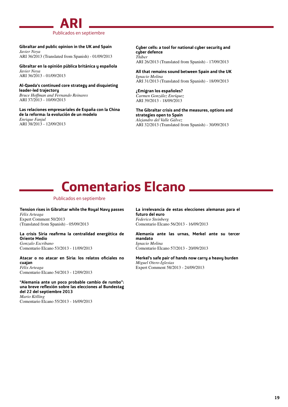

**Gibraltar and public opinion in the UK and Spain** *Javier Noya* ARI 36/2013 (Translated from Spanish) - 01/09/2013

**Gibraltar en la opinión pública británica y española** *Javier Noya* ARI 36/2013 - 01/09/2013

**Al-Qaeda's continued core strategy and disquieting leader-led trajectory** *Bruce Hoffman and Fernando Reinares*

ARI 37/2013 - 10/09/2013 **Las relaciones empresariales de España con la China** 

**de la reforma: la evolución de un modelo** *Enrique Fanjul* ARI 38/2013 - 12/09/2013

**Cyber cells: a tool for national cyber security and cyber defence** *Thiber*

ARI 26/2013 (Translated from Spanish) - 17/09/2013

**All that remains sound between Spain and the UK** *Ignacio Molina* ARI 31/2013 (Translated from Spanish) - 18/09/2013

**¿Emigran los españoles?** *Carmen González Enríquez* ARI 39/2013 - 18/09/2013

**The Gibraltar crisis and the measures, options and strategies open to Spain** *Alejandro del Valle Gálvez* ARI 32/2013 (Translated from Spanish) - 30/09/2013

# **Comentarios Elcano**

## Publicados en septiembre

**Tension rises in Gibraltar while the Royal Navy passes** *Félix Arteaga* Expert Comment 50/2013 (Translated from Spanish) - 05/09/2013

**La crisis Siria reafirma la centralidad energética de Oriente Medio** *Gonzalo Escribano*

Comentario Elcano 53/2013 - 11/09/2013

**Atacar o no atacar en Siria: los relatos oficiales no cuajan** *Félix Arteaga*

Comentario Elcano 54/2013 - 12/09/2013

**"Alemania ante un poco probable cambio de rumbo": una breve reflexión sobre las elecciones al Bundestag del 22 del septiembre 2013** *Mario Kölling* Comentario Elcano 55/2013 - 16/09/2013

**La irrelevancia de estas elecciones alemanas para el futuro del euro** *Federico Steinberg* Comentario Elcano 56/2013 - 16/09/2013

**Alemania ante las urnas, Merkel ante su tercer mandato** *Ignacio Molina* Comentario Elcano 57/2013 - 20/09/2013

**Merkel's safe pair of hands now carry a heavy burden** *Miguel Otero-Iglesias* Expert Comment 58/2013 - 24/09/2013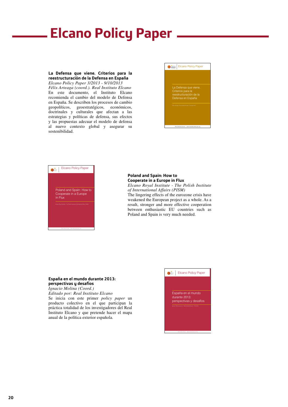# **Elcano Policy Paper**

## **La Defensa que viene. Criterios para la reestructuración de la Defensa en España**

*Elcano Policy Paper 3/2013 - 9/10/2013 Félix Arteaga (coord.). Real Instituto Elcano*  En este documento, el Instituto Elcano recomienda el cambio del modelo de Defensa en España. Se describen los procesos de cambio geopolíticos, geoestratégicos, económicos, doctrinales y culturales que afectan a las estrategias y políticas de defensa, sus efectos y las propuestas adecuar el modelo de defensa al nuevo contexto global y asegurar su sostenibilidad.





### **Poland and Spain: How to Cooperate in a Europe in Flux**

*Elcano Royal Institute - The Polish Institute of International Affairs (PISM)* The lingering effects of the eurozone crisis have weakened the European project as a whole. As a result, stronger and more effective cooperation between enthusiastic EU countries such as Poland and Spain is very much needed.

## **España en el mundo durante 2013: perspectivas y desafíos**

*Ignacio Molina (Coord.) Editado por: Real Instituto Elcano* Se inicia con este primer *policy paper* un producto colectivo en el que participan la práctica totalidad de los investigadores del Real Instituto Elcano y que pretende hacer el mapa anual de la política exterior española.

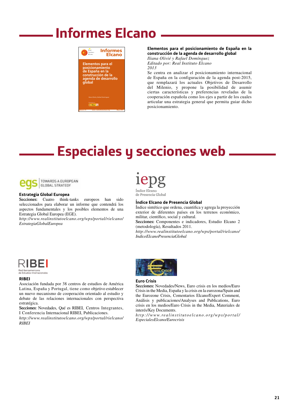# **Informes Elcano**



## **Elementos para el posicionamiento de España en la construcción de la agenda de desarrollo global**

*Iliana Olivié y Rafael Domínguez Editado por: Real Instituto Elcano 2013*

Se centra en analizar el posicionamiento internacional de España en la configuración de la agenda post-2015, que remplazará los actuales Objetivos de Desarrollo del Milenio, y propone la posibilidad de asumir ciertas características y preferencias reveladas de la cooperación española como los ejes a partir de los cuales articular una estrategia general que permita guiar dicho posicionamiento.

# **Especiales y secciones web**



TOWARDS A EUROPEAN **GLOBAL STRATEGY** 

### **Estrategia Global Europea**

**Secciones:** Cuatro think-tanks europeos han sido seleccionados para elaborar un informe que contendrá los aspectos fundamentales y los posibles elementos de una Estrategia Global Europea (EGE).

*http://www.realinstitutoelcano.org/wps/portal/rielcano/ EstrategiaGlobalEuropea*



Índice Elcano de Presencia Global

#### **Índice Elcano de Presencia Global**

Índice sintético que ordena, cuantifica y agrega la proyección exterior de diferentes países en los terrenos económico, militar, científico, social y cultural.

**Secciones:** Componentes e indicadores, Estudio Elcano 2 (metodología), Resultados 2011.

*http://www.realinstitutoelcano.org/wps/portal/rielcano/ IndiceElcanoPresenciaGlobal*



Red Iberoamericana<br>de Estudios Internacio

### **RIBEI**

Asociación fundada por 38 centros de estudios de América Latina, España y Portugal, tiene como objetivo establecer un nuevo mecanismo de cooperación orientado al estudio y debate de las relaciones internacionales con perspectiva estratégica.

**Secciones:** Novedades, Qué es RIBEI, Centros Integrantes, I Conferencia Internacional RIBEI, Publicaciones.

*http://www.realinstitutoelcano.org/wps/portal/rielcano/ RIBEI*



#### **Euro Crisis**

**Secciones:** Novedades/News, Euro crisis en los medios/Euro Crisis in the Media, España y la crisis en la eurozona/Spain and the Eurozone Crisis, Comentarios Elcano/Expert Comment, Análisis y publicaciones/Analyses and Publications, Euro crisis en los medios/Euro Crisis in the Media, Materiales de interés/Key Documents.

*http://www.realinstitutoelcano.org/wps/portal/ EspecialesElcano/Eurocrisis*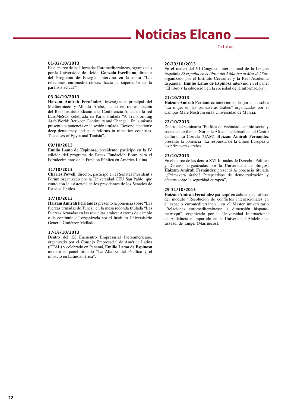# **Noticias Elcano**

### **01-02/10/2013**

En el marco de las I Jornadas Euromediterráneas, organizadas por la Universidad de Lleida, **Gonzalo Escribano**, director del Programa de Energía, intervino en la mesa "Las relaciones euromediterráneas: hacia la superación de la parálisis actual?"

## **03-04/10/2013**

**Haizam Amirah Fernández**, investigador principal del Mediterráneo y Mundo Árabe, acude en representación del Real Instituto Elcano a la Conferencia Anual de la red EuroMeSCo celebrada en París, titulada "A Transforming Arab World: Between Continuity and Change". En la misma presentó la ponencia en la sesión titulada "Beyond elections: deep democracy and state reforms in transition countries. The cases of Egypt and Tunisia".

## **09/10/2013**

**Emilio Lamo de Espinosa**, presidente, participó en la IV edición del programa de Becas Fundación Botín para el Fortalecimiento de la Función Pública en América Latina.

### **11/10/2013**

**Charles Powell**, director, participó en el Senates President's Forum organizado por la Universidad CEU San Pablo, que contó con la asistencia de los presidentes de los Senados de Estados Unidos.

## **17/10/2013**

**Haizam Amirah Fernández** presentó la ponencia sobre "Las fuerzas armadas de Túnez" en la mesa redonda titulada "Las Fuerzas Armadas en las revueltas árabes: Actores de cambio o de continuidad" organizada por el Instituto Universitario General Gutiérrez Mellado.

## **17-18/10/2013**

Dentro del IX Encuentro Empresarial Iberoamericano, organizado por el Consejo Empresarial de América Latina (CEAL) y celebrado en Panamá, **Emilio Lamo de Espinosa** moderó el panel titulado "La Alianza del Pacífico y el impacto en Latinoamérica".

### **20-23/10/2013**

En el marco del VI Congreso Internacional de la Lengua Española *El español en el libro: del Atlántico al Mar del Sur*, organizado por el Instituto Cervantes y la Real Academia Española, **Emilio Lamo de Espinosa** intervino en el panel "El libro y la educación en la sociedad de la información".

**Octubre** 

## **21/10/2013**

**Haizam Amirah Fernández** intervino en las jornadas sobre "La mujer en las primaveras árabes" organizadas por el Campus Mare Nostrum en la Universidad de Murcia.

### **22/10/2013**

Dentro del seminario "Política de Vecindad, cambio social y sociedad civil en el Norte de África", celebrado en el Centro Cultural La Corrala (UAM), **Haizam Amirah Fernández**  presentó la ponencia "La respuesta de la Unión Europea a las primaveras árabes"

## **23/10/2013**

En el marco de las dentro XVI Jornadas de Derecho, Política y Defensa, organizadas por la Universidad de Burgos, **Haizam Amirah Fernández** presentó la ponencia titulada "¿Primavera árabe? Perspectivas de democratización y efectos sobre la seguridad europea",

## **29-31/10/2013**

**Haizam Amirah Fernández** participó en calidad de profesor del módulo "Resolución de conflictos internacionales en el espacio euromediterráneo", en el Máster universitario "Relaciones euromediterráneas: la dimensión hispanomarroquí", organizado por la Universidad Internacional de Andalucía e impartido en la Universidad Abdelmalek Essaadi de Tánger (Marruecos).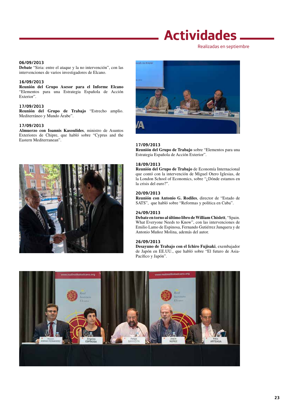# **Actividades**

Realizadas en septiembre

## **06/09/2013**

**Debate** "Siria: entre el ataque y la no intervención", con las intervenciones de varios investigadores de Elcano.

## **16/09/2013**

**Reunión del Grupo Asesor para el Informe Elcano**  "Elementos para una Estrategia Española de Acción Exterior".

## **17/09/2013**

**Reunión del Grupo de Trabajo** "Estrecho amplio. Mediterráneo y Mundo Árabe".

## **17/09/2013**

**Almuerzo con Ioannis Kasoulides**, ministro de Asuntos Exteriores de Chipre, que habló sobre "Cyprus and the Eastern Mediterranean".





### **17/09/2013**

**Reunión del Grupo de Trabajo** sobre "Elementos para una Estrategia Española de Acción Exterior".

## **18/09/2013**

**Reunión del Grupo de Trabajo** de Economía Internacional que contó con la intervención de Miguel Otero Iglesias, de la London School of Economics, sobre "¿Dónde estamos en la crisis del euro?".

## **20/09/2013**

**Reunión con Antonio G. Rodiles**, director de "Estado de SATS", que habló sobre "Reformas y política en Cuba".

### **24/09/2013**

**Debate en torno al último libro de William Chislett**, "Spain. What Everyone Needs to Know", con las intervenciones de Emilio Lamo de Espinosa, Fernando Gutiérrez Junquera y de Antonio Muñoz Molina, además del autor.

## **26/09/2013**

**Desayuno de Trabajo con el Ichiro Fujisaki**, exembajador de Japón en EE.UU., que habló sobre "El futuro de Asia-Pacífico y Japón".